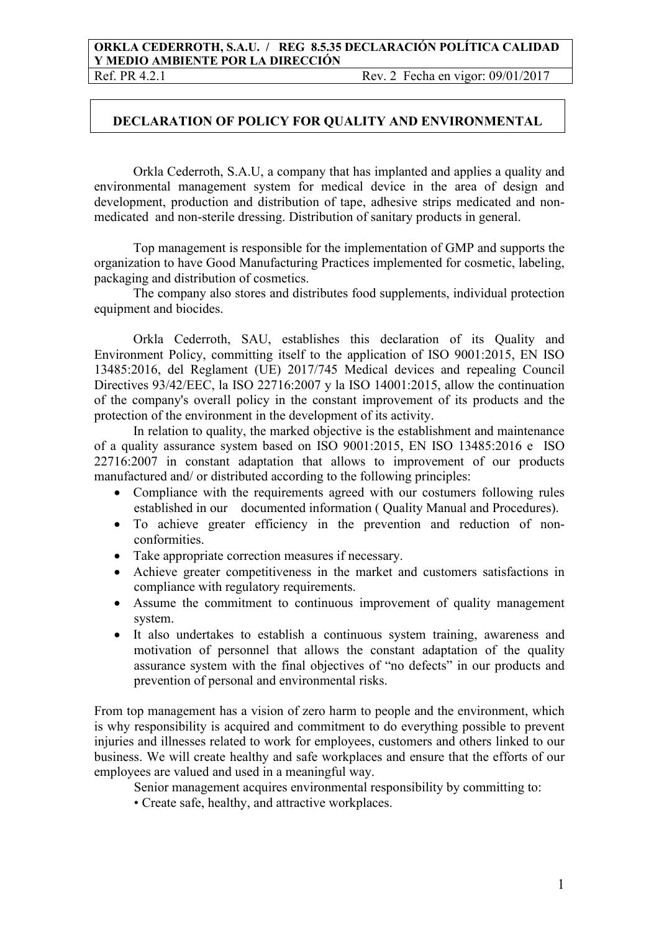## **ORKLA CEDERROTH, S.A.U. / REG 8.5.35 DECLARACIÓN POLÍTICA CALIDAD Y MEDIO AMBIENTE POR LA DIRECCIÓN**

Ref. PR 4.2.1 Rev. 2 Fecha en vigor: 09/01/2017

## **DECLARATION OF POLICY FOR QUALITY AND ENVIRONMENTAL**

Orkla Cederroth, S.A.U, a company that has implanted and applies a quality and environmental management system for medical device in the area of design and development, production and distribution of tape, adhesive strips medicated and nonmedicated and non-sterile dressing. Distribution of sanitary products in general.

Top management is responsible for the implementation of GMP and supports the organization to have Good Manufacturing Practices implemented for cosmetic, labeling, packaging and distribution of cosmetics.

The company also stores and distributes food supplements, individual protection equipment and biocides.

Orkla Cederroth, SAU, establishes this declaration of its Quality and Environment Policy, committing itself to the application of ISO 9001:2015, EN ISO 13485:2016, del Reglament (UE) 2017/745 Medical devices and repealing Council Directives 93/42/EEC, la ISO 22716:2007 y la ISO 14001:2015, allow the continuation of the company's overall policy in the constant improvement of its products and the protection of the environment in the development of its activity.

In relation to quality, the marked objective is the establishment and maintenance of a quality assurance system based on ISO 9001:2015, EN ISO 13485:2016 e ISO 22716:2007 in constant adaptation that allows to improvement of our products manufactured and/ or distributed according to the following principles:

- Compliance with the requirements agreed with our costumers following rules established in our documented information ( Quality Manual and Procedures).
- To achieve greater efficiency in the prevention and reduction of nonconformities.
- Take appropriate correction measures if necessary.
- Achieve greater competitiveness in the market and customers satisfactions in compliance with regulatory requirements.
- Assume the commitment to continuous improvement of quality management system.
- It also undertakes to establish a continuous system training, awareness and motivation of personnel that allows the constant adaptation of the quality assurance system with the final objectives of "no defects" in our products and prevention of personal and environmental risks.

From top management has a vision of zero harm to people and the environment, which is why responsibility is acquired and commitment to do everything possible to prevent injuries and illnesses related to work for employees, customers and others linked to our business. We will create healthy and safe workplaces and ensure that the efforts of our employees are valued and used in a meaningful way.

Senior management acquires environmental responsibility by committing to:

• Create safe, healthy, and attractive workplaces.